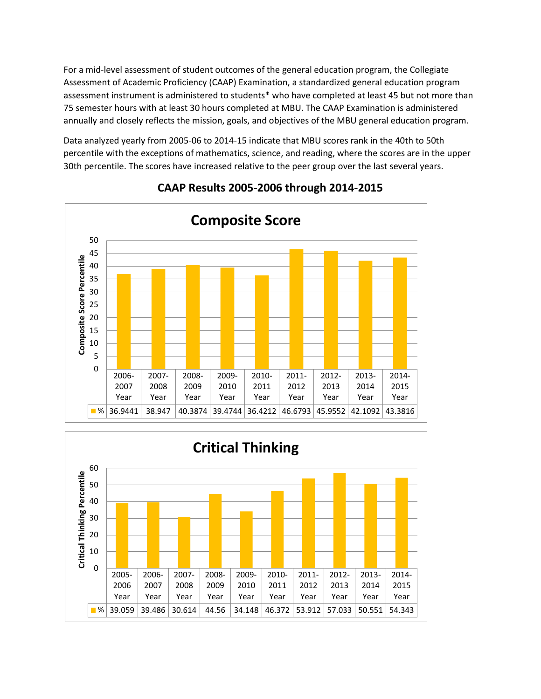For a mid-level assessment of student outcomes of the general education program, the Collegiate Assessment of Academic Proficiency (CAAP) Examination, a standardized general education program assessment instrument is administered to students\* who have completed at least 45 but not more than 75 semester hours with at least 30 hours completed at MBU. The CAAP Examination is administered annually and closely reflects the mission, goals, and objectives of the MBU general education program.

Data analyzed yearly from 2005-06 to 2014-15 indicate that MBU scores rank in the 40th to 50th percentile with the exceptions of mathematics, science, and reading, where the scores are in the upper 30th percentile. The scores have increased relative to the peer group over the last several years.



## **CAAP Results 2005-2006 through 2014-2015**

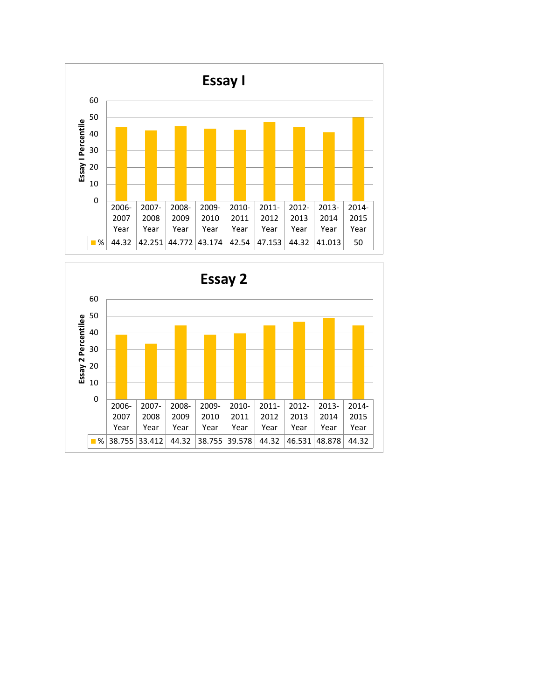

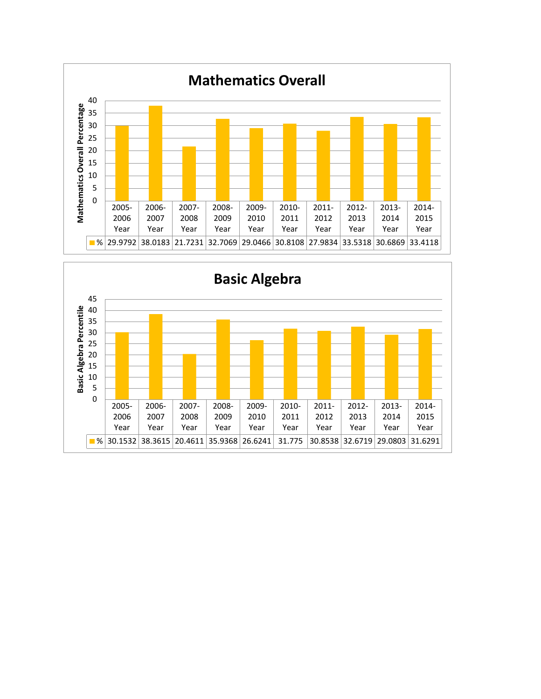

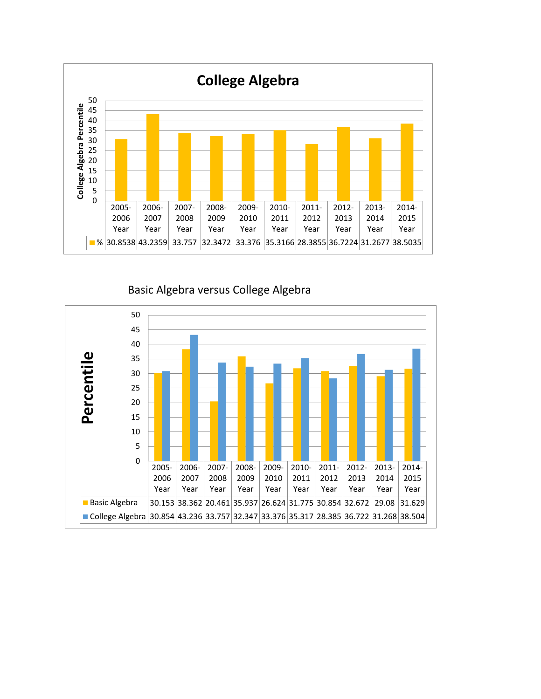

Basic Algebra versus College Algebra

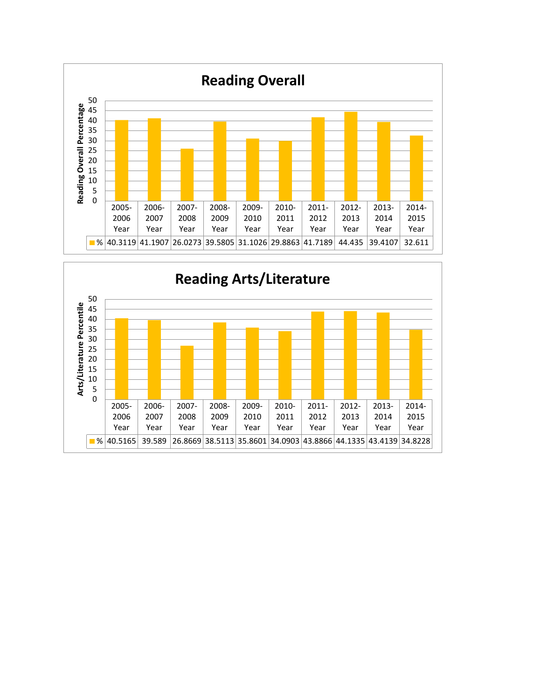

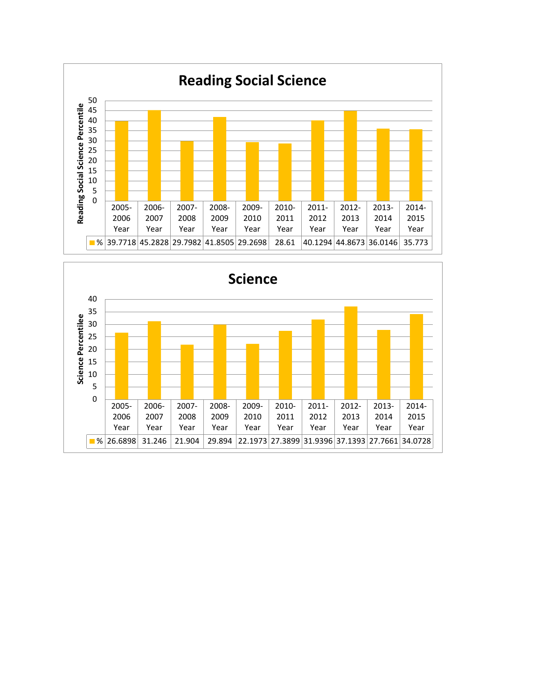